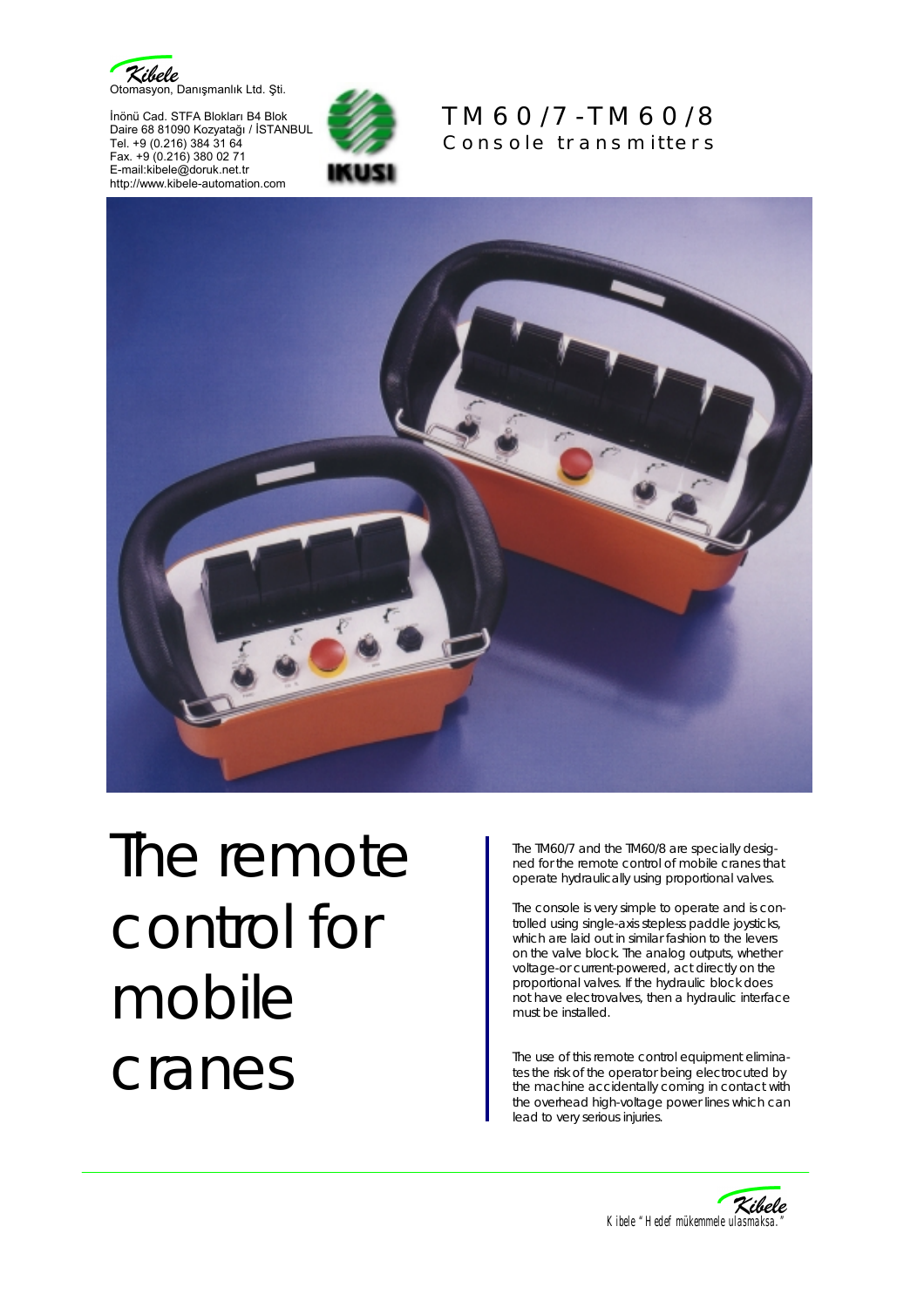

İnönü Cad. STFA Blokları B4 Blok Daire 68 81090 Kozyatağı / İSTANBUL Tel. +9 (0.216) 384 31 64 Fax. +9 (0.216) 380 02 71 E-mail:kibele@doruk.net.tr http://www.kibele-automation.com



## TM60/7-TM60/8 Console transmitters



## The remote control for mobile cranes

The TM60/7 and the TM60/8 are specially designed for the remote control of mobile cranes that operate hydraulically using proportional valves.

The console is very simple to operate and is controlled using single-axis stepless paddle joysticks, which are laid out in similar fashion to the levers on the valve block. The analog outputs, whether voltage-or current-powered, act directly on the proportional valves. If the hydraulic block does not have electrovalves, then a hydraulic interface must be installed.

The use of this remote control equipment eliminates the risk of the operator being electrocuted by the machine accidentally coming in contact with the overhead high-voltage power lines which can lead to very serious injuries.